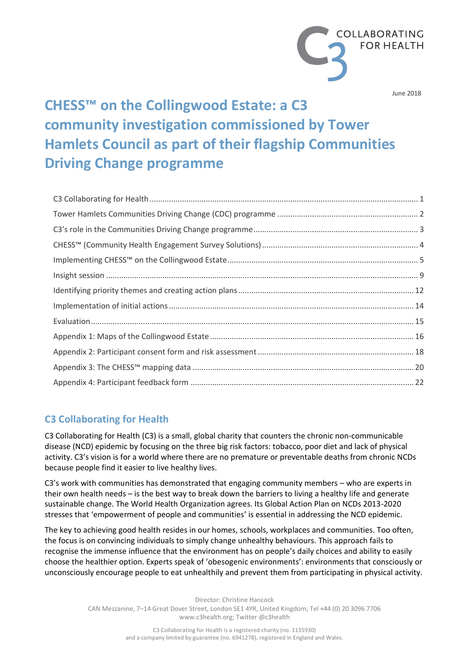

June 2018

# **CHESS™ on the Collingwood Estate: a C3 community investigation commissioned by Tower Hamlets Council as part of their flagship Communities Driving Change programme**

# **C3 Collaborating for Health**

C3 Collaborating for Health (C3) is a small, global charity that counters the chronic non-communicable disease (NCD) epidemic by focusing on the three big risk factors: tobacco, poor diet and lack of physical activity. C3's vision is for a world where there are no premature or preventable deaths from chronic NCDs because people find it easier to live healthy lives.

C3's work with communities has demonstrated that engaging community members – who are experts in their own health needs – is the best way to break down the barriers to living a healthy life and generate sustainable change. The World Health Organization agrees. Its Global Action Plan on NCDs 2013-2020 stresses that 'empowerment of people and communities' is essential in addressing the NCD epidemic.

The key to achieving good health resides in our homes, schools, workplaces and communities. Too often, the focus is on convincing individuals to simply change unhealthy behaviours. This approach fails to recognise the immense influence that the environment has on people's daily choices and ability to easily choose the healthier option. Experts speak of 'obesogenic environments': environments that consciously or unconsciously encourage people to eat unhealthily and prevent them from participating in physical activity.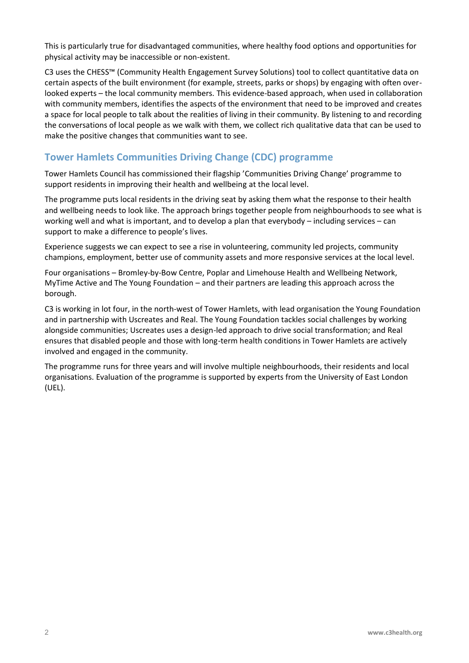This is particularly true for disadvantaged communities, where healthy food options and opportunities for physical activity may be inaccessible or non-existent.

C3 uses the CHESS™ (Community Health Engagement Survey Solutions) tool to collect quantitative data on certain aspects of the built environment (for example, streets, parks or shops) by engaging with often overlooked experts – the local community members. This evidence-based approach, when used in collaboration with community members, identifies the aspects of the environment that need to be improved and creates a space for local people to talk about the realities of living in their community. By listening to and recording the conversations of local people as we walk with them, we collect rich qualitative data that can be used to make the positive changes that communities want to see.

# **Tower Hamlets Communities Driving Change (CDC) programme**

Tower Hamlets Council has commissioned their flagship 'Communities Driving Change' programme to support residents in improving their health and wellbeing at the local level.

The programme puts local residents in the driving seat by asking them what the response to their health and wellbeing needs to look like. The approach brings together people from neighbourhoods to see what is working well and what is important, and to develop a plan that everybody – including services – can support to make a difference to people's lives.

Experience suggests we can expect to see a rise in volunteering, community led projects, community champions, employment, better use of community assets and more responsive services at the local level.

Four organisations – Bromley-by-Bow Centre, Poplar and Limehouse Health and Wellbeing Network, MyTime Active and The Young Foundation – and their partners are leading this approach across the borough.

C3 is working in lot four, in the north-west of Tower Hamlets, with lead organisation the Young Foundation and in partnership with Uscreates and Real. The Young Foundation tackles social challenges by working alongside communities; Uscreates uses a design-led approach to drive social transformation; and Real ensures that disabled people and those with long-term health conditions in Tower Hamlets are actively involved and engaged in the community.

The programme runs for three years and will involve multiple neighbourhoods, their residents and local organisations. Evaluation of the programme is supported by experts from the University of East London (UEL).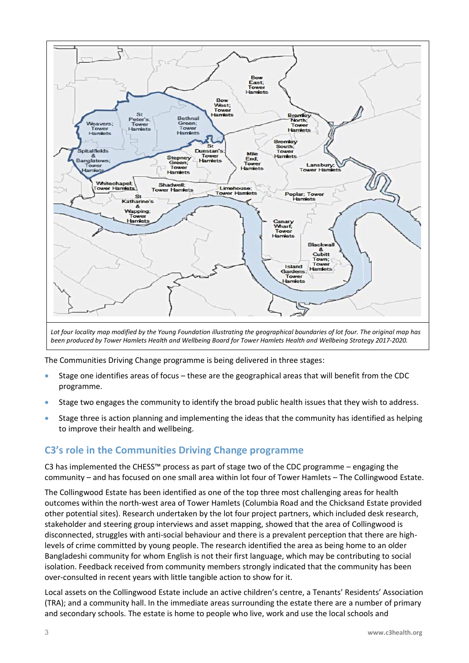

*been produced by Tower Hamlets Health and Wellbeing Board for Tower Hamlets Health and Wellbeing Strategy 2017-2020.*

The Communities Driving Change programme is being delivered in three stages:

- Stage one identifies areas of focus these are the geographical areas that will benefit from the CDC programme.
- Stage two engages the community to identify the broad public health issues that they wish to address.
- Stage three is action planning and implementing the ideas that the community has identified as helping to improve their health and wellbeing.

# **C3's role in the Communities Driving Change programme**

C3 has implemented the CHESS™ process as part of stage two of the CDC programme – engaging the community – and has focused on one small area within lot four of Tower Hamlets – The Collingwood Estate.

The Collingwood Estate has been identified as one of the top three most challenging areas for health outcomes within the north-west area of Tower Hamlets (Columbia Road and the Chicksand Estate provided other potential sites). Research undertaken by the lot four project partners, which included desk research, stakeholder and steering group interviews and asset mapping, showed that the area of Collingwood is disconnected, struggles with anti-social behaviour and there is a prevalent perception that there are highlevels of crime committed by young people. The research identified the area as being home to an older Bangladeshi community for whom English is not their first language, which may be contributing to social isolation. Feedback received from community members strongly indicated that the community has been over-consulted in recent years with little tangible action to show for it.

Local assets on the Collingwood Estate include an active children's centre, a Tenants' Residents' Association (TRA); and a community hall. In the immediate areas surrounding the estate there are a number of primary and secondary schools. The estate is home to people who live, work and use the local schools and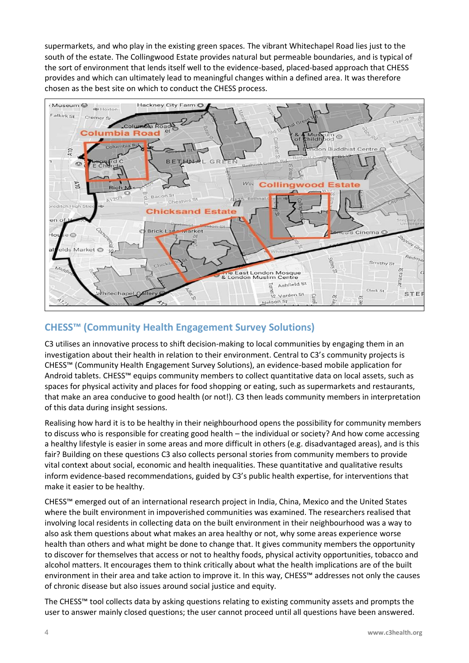supermarkets, and who play in the existing green spaces. The vibrant Whitechapel Road lies just to the south of the estate. The Collingwood Estate provides natural but permeable boundaries, and is typical of the sort of environment that lends itself well to the evidence-based, placed-based approach that CHESS provides and which can ultimately lead to meaningful changes within a defined area. It was therefore chosen as the best site on which to conduct the CHESS process.



# **CHESS™ (Community Health Engagement Survey Solutions)**

C3 utilises an innovative process to shift decision-making to local communities by engaging them in an investigation about their health in relation to their environment. Central to C3's community projects is CHESS™ (Community Health Engagement Survey Solutions), an evidence-based mobile application for Android tablets. CHESS™ equips community members to collect quantitative data on local assets, such as spaces for physical activity and places for food shopping or eating, such as supermarkets and restaurants, that make an area conducive to good health (or not!). C3 then leads community members in interpretation of this data during insight sessions.

Realising how hard it is to be healthy in their neighbourhood opens the possibility for community members to discuss who is responsible for creating good health – the individual or society? And how come accessing a healthy lifestyle is easier in some areas and more difficult in others (e.g. disadvantaged areas), and is this fair? Building on these questions C3 also collects personal stories from community members to provide vital context about social, economic and health inequalities. These quantitative and qualitative results inform evidence-based recommendations, guided by C3's public health expertise, for interventions that make it easier to be healthy.

CHESS™ emerged out of an international research project in India, China, Mexico and the United States where the built environment in impoverished communities was examined. The researchers realised that involving local residents in collecting data on the built environment in their neighbourhood was a way to also ask them questions about what makes an area healthy or not, why some areas experience worse health than others and what might be done to change that. It gives community members the opportunity to discover for themselves that access or not to healthy foods, physical activity opportunities, tobacco and alcohol matters. It encourages them to think critically about what the health implications are of the built environment in their area and take action to improve it. In this way, CHESS™ addresses not only the causes of chronic disease but also issues around social justice and equity.

The CHESS™ tool collects data by asking questions relating to existing community assets and prompts the user to answer mainly closed questions; the user cannot proceed until all questions have been answered.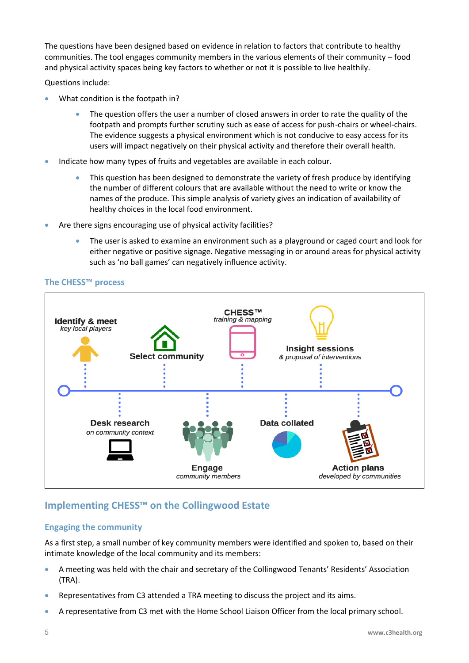The questions have been designed based on evidence in relation to factors that contribute to healthy communities. The tool engages community members in the various elements of their community – food and physical activity spaces being key factors to whether or not it is possible to live healthily.

Questions include:

- What condition is the footpath in?
	- The question offers the user a number of closed answers in order to rate the quality of the footpath and prompts further scrutiny such as ease of access for push-chairs or wheel-chairs. The evidence suggests a physical environment which is not conducive to easy access for its users will impact negatively on their physical activity and therefore their overall health.
- Indicate how many types of fruits and vegetables are available in each colour.
	- This question has been designed to demonstrate the variety of fresh produce by identifying the number of different colours that are available without the need to write or know the names of the produce. This simple analysis of variety gives an indication of availability of healthy choices in the local food environment.
- Are there signs encouraging use of physical activity facilities?
	- The user is asked to examine an environment such as a playground or caged court and look for either negative or positive signage. Negative messaging in or around areas for physical activity such as 'no ball games' can negatively influence activity.





## **Implementing CHESS™ on the Collingwood Estate**

#### **Engaging the community**

As a first step, a small number of key community members were identified and spoken to, based on their intimate knowledge of the local community and its members:

- A meeting was held with the chair and secretary of the Collingwood Tenants' Residents' Association (TRA).
- Representatives from C3 attended a TRA meeting to discuss the project and its aims.
- A representative from C3 met with the Home School Liaison Officer from the local primary school.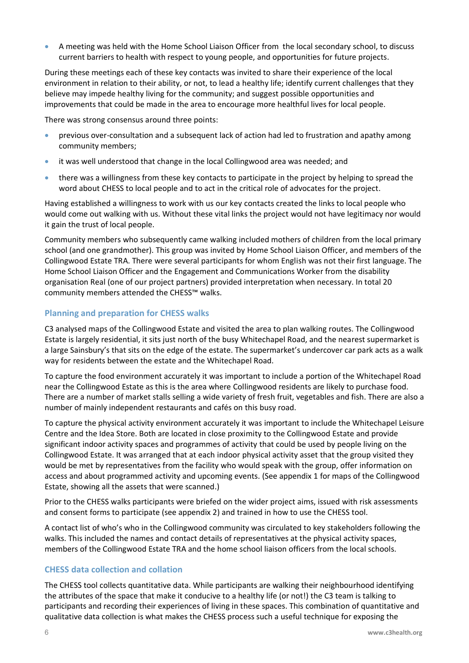• A meeting was held with the Home School Liaison Officer from the local secondary school, to discuss current barriers to health with respect to young people, and opportunities for future projects.

During these meetings each of these key contacts was invited to share their experience of the local environment in relation to their ability, or not, to lead a healthy life; identify current challenges that they believe may impede healthy living for the community; and suggest possible opportunities and improvements that could be made in the area to encourage more healthful lives for local people.

There was strong consensus around three points:

- previous over-consultation and a subsequent lack of action had led to frustration and apathy among community members;
- it was well understood that change in the local Collingwood area was needed; and
- there was a willingness from these key contacts to participate in the project by helping to spread the word about CHESS to local people and to act in the critical role of advocates for the project.

Having established a willingness to work with us our key contacts created the links to local people who would come out walking with us. Without these vital links the project would not have legitimacy nor would it gain the trust of local people.

Community members who subsequently came walking included mothers of children from the local primary school (and one grandmother). This group was invited by Home School Liaison Officer, and members of the Collingwood Estate TRA. There were several participants for whom English was not their first language. The Home School Liaison Officer and the Engagement and Communications Worker from the disability organisation Real (one of our project partners) provided interpretation when necessary. In total 20 community members attended the CHESS™ walks.

#### **Planning and preparation for CHESS walks**

C3 analysed maps of the Collingwood Estate and visited the area to plan walking routes. The Collingwood Estate is largely residential, it sits just north of the busy Whitechapel Road, and the nearest supermarket is a large Sainsbury's that sits on the edge of the estate. The supermarket's undercover car park acts as a walk way for residents between the estate and the Whitechapel Road.

To capture the food environment accurately it was important to include a portion of the Whitechapel Road near the Collingwood Estate as this is the area where Collingwood residents are likely to purchase food. There are a number of market stalls selling a wide variety of fresh fruit, vegetables and fish. There are also a number of mainly independent restaurants and cafés on this busy road.

To capture the physical activity environment accurately it was important to include the Whitechapel Leisure Centre and the Idea Store. Both are located in close proximity to the Collingwood Estate and provide significant indoor activity spaces and programmes of activity that could be used by people living on the Collingwood Estate. It was arranged that at each indoor physical activity asset that the group visited they would be met by representatives from the facility who would speak with the group, offer information on access and about programmed activity and upcoming events. (See appendix 1 for maps of the Collingwood Estate, showing all the assets that were scanned.)

Prior to the CHESS walks participants were briefed on the wider project aims, issued with risk assessments and consent forms to participate (see appendix 2) and trained in how to use the CHESS tool.

A contact list of who's who in the Collingwood community was circulated to key stakeholders following the walks. This included the names and contact details of representatives at the physical activity spaces, members of the Collingwood Estate TRA and the home school liaison officers from the local schools.

#### **CHESS data collection and collation**

The CHESS tool collects quantitative data. While participants are walking their neighbourhood identifying the attributes of the space that make it conducive to a healthy life (or not!) the C3 team is talking to participants and recording their experiences of living in these spaces. This combination of quantitative and qualitative data collection is what makes the CHESS process such a useful technique for exposing the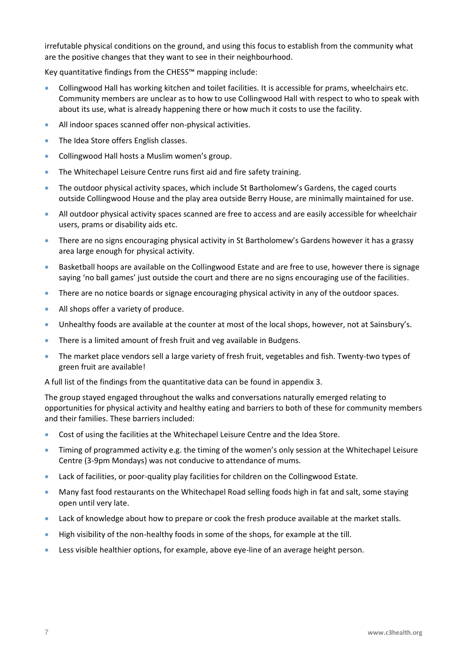irrefutable physical conditions on the ground, and using this focus to establish from the community what are the positive changes that they want to see in their neighbourhood.

Key quantitative findings from the CHESS™ mapping include:

- Collingwood Hall has working kitchen and toilet facilities. It is accessible for prams, wheelchairs etc. Community members are unclear as to how to use Collingwood Hall with respect to who to speak with about its use, what is already happening there or how much it costs to use the facility.
- All indoor spaces scanned offer non-physical activities.
- The Idea Store offers English classes.
- Collingwood Hall hosts a Muslim women's group.
- The Whitechapel Leisure Centre runs first aid and fire safety training.
- The outdoor physical activity spaces, which include St Bartholomew's Gardens, the caged courts outside Collingwood House and the play area outside Berry House, are minimally maintained for use.
- All outdoor physical activity spaces scanned are free to access and are easily accessible for wheelchair users, prams or disability aids etc.
- There are no signs encouraging physical activity in St Bartholomew's Gardens however it has a grassy area large enough for physical activity.
- Basketball hoops are available on the Collingwood Estate and are free to use, however there is signage saying 'no ball games' just outside the court and there are no signs encouraging use of the facilities.
- There are no notice boards or signage encouraging physical activity in any of the outdoor spaces.
- All shops offer a variety of produce.
- Unhealthy foods are available at the counter at most of the local shops, however, not at Sainsbury's.
- There is a limited amount of fresh fruit and veg available in Budgens.
- The market place vendors sell a large variety of fresh fruit, vegetables and fish. Twenty-two types of green fruit are available!

A full list of the findings from the quantitative data can be found in appendix 3.

The group stayed engaged throughout the walks and conversations naturally emerged relating to opportunities for physical activity and healthy eating and barriers to both of these for community members and their families. These barriers included:

- Cost of using the facilities at the Whitechapel Leisure Centre and the Idea Store.
- Timing of programmed activity e.g. the timing of the women's only session at the Whitechapel Leisure Centre (3-9pm Mondays) was not conducive to attendance of mums.
- Lack of facilities, or poor-quality play facilities for children on the Collingwood Estate.
- Many fast food restaurants on the Whitechapel Road selling foods high in fat and salt, some staying open until very late.
- Lack of knowledge about how to prepare or cook the fresh produce available at the market stalls.
- High visibility of the non-healthy foods in some of the shops, for example at the till.
- Less visible healthier options, for example, above eye-line of an average height person.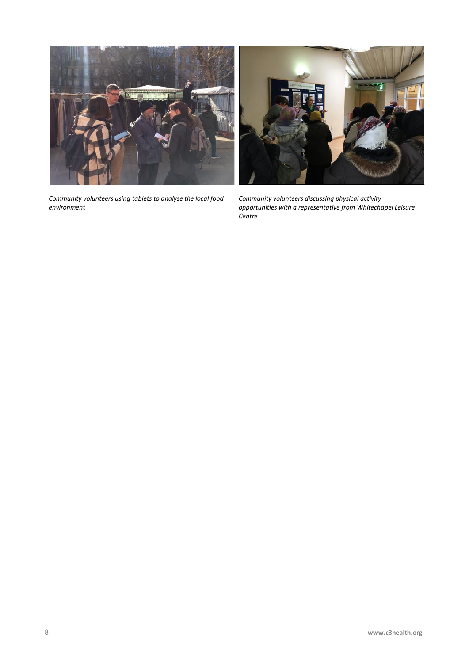

*Community volunteers using tablets to analyse the local food environment*



*Community volunteers discussing physical activity opportunities with a representative from Whitechapel Leisure Centre*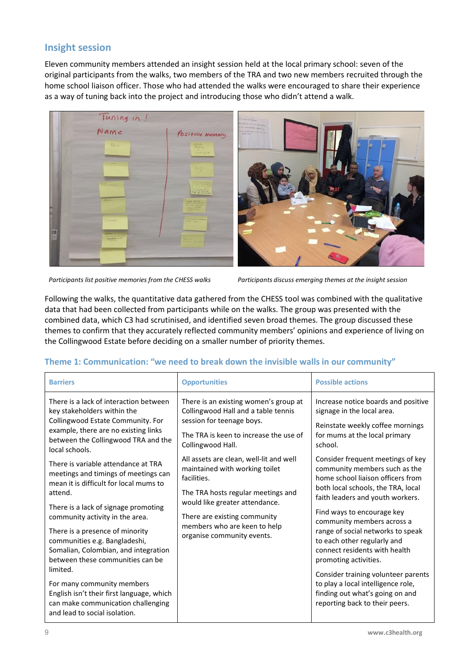## **Insight session**

Eleven community members attended an insight session held at the local primary school: seven of the original participants from the walks, two members of the TRA and two new members recruited through the home school liaison officer. Those who had attended the walks were encouraged to share their experience as a way of tuning back into the project and introducing those who didn't attend a walk.



*Participants list positive memories from the CHESS walks Participants discuss emerging themes at the insight session*

Following the walks, the quantitative data gathered from the CHESS tool was combined with the qualitative data that had been collected from participants while on the walks. The group was presented with the combined data, which C3 had scrutinised, and identified seven broad themes. The group discussed these themes to confirm that they accurately reflected community members' opinions and experience of living on the Collingwood Estate before deciding on a smaller number of priority themes.

#### **Theme 1: Communication: "we need to break down the invisible walls in our community"**

| <b>Barriers</b>                                                                                                                                                                                                                                                                                                                                                                                                                                                                                                                                                            | <b>Opportunities</b>                                                                                                                                                                                                                                                                                                                                                                                                                       | <b>Possible actions</b>                                                                                                                                                                                                                                                                                                                                                                                                                                                                                                          |
|----------------------------------------------------------------------------------------------------------------------------------------------------------------------------------------------------------------------------------------------------------------------------------------------------------------------------------------------------------------------------------------------------------------------------------------------------------------------------------------------------------------------------------------------------------------------------|--------------------------------------------------------------------------------------------------------------------------------------------------------------------------------------------------------------------------------------------------------------------------------------------------------------------------------------------------------------------------------------------------------------------------------------------|----------------------------------------------------------------------------------------------------------------------------------------------------------------------------------------------------------------------------------------------------------------------------------------------------------------------------------------------------------------------------------------------------------------------------------------------------------------------------------------------------------------------------------|
| There is a lack of interaction between<br>key stakeholders within the<br>Collingwood Estate Community. For<br>example, there are no existing links<br>between the Collingwood TRA and the<br>local schools.<br>There is variable attendance at TRA<br>meetings and timings of meetings can<br>mean it is difficult for local mums to<br>attend.<br>There is a lack of signage promoting<br>community activity in the area.<br>There is a presence of minority<br>communities e.g. Bangladeshi,<br>Somalian, Colombian, and integration<br>between these communities can be | There is an existing women's group at<br>Collingwood Hall and a table tennis<br>session for teenage boys.<br>The TRA is keen to increase the use of<br>Collingwood Hall.<br>All assets are clean, well-lit and well<br>maintained with working toilet<br>facilities.<br>The TRA hosts regular meetings and<br>would like greater attendance.<br>There are existing community<br>members who are keen to help<br>organise community events. | Increase notice boards and positive<br>signage in the local area.<br>Reinstate weekly coffee mornings<br>for mums at the local primary<br>school.<br>Consider frequent meetings of key<br>community members such as the<br>home school liaison officers from<br>both local schools, the TRA, local<br>faith leaders and youth workers.<br>Find ways to encourage key<br>community members across a<br>range of social networks to speak<br>to each other regularly and<br>connect residents with health<br>promoting activities. |
| limited.                                                                                                                                                                                                                                                                                                                                                                                                                                                                                                                                                                   |                                                                                                                                                                                                                                                                                                                                                                                                                                            | Consider training volunteer parents                                                                                                                                                                                                                                                                                                                                                                                                                                                                                              |
| For many community members<br>English isn't their first language, which<br>can make communication challenging<br>and lead to social isolation.                                                                                                                                                                                                                                                                                                                                                                                                                             |                                                                                                                                                                                                                                                                                                                                                                                                                                            | to play a local intelligence role,<br>finding out what's going on and<br>reporting back to their peers.                                                                                                                                                                                                                                                                                                                                                                                                                          |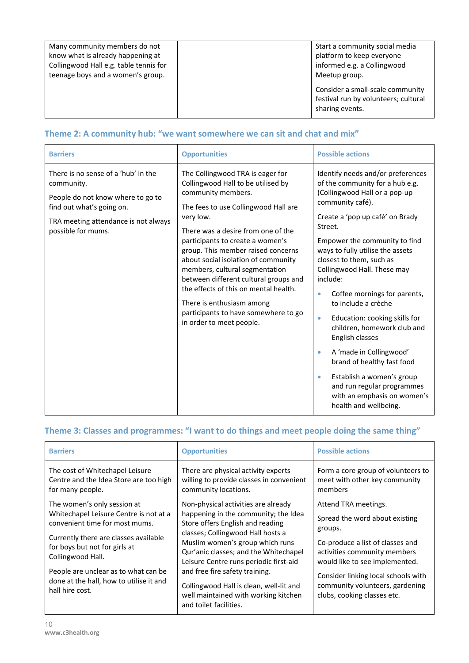| Many community members do not          | Start a community social media                                                              |
|----------------------------------------|---------------------------------------------------------------------------------------------|
| know what is already happening at      | platform to keep everyone                                                                   |
| Collingwood Hall e.g. table tennis for | informed e.g. a Collingwood                                                                 |
| teenage boys and a women's group.      | Meetup group.                                                                               |
|                                        | Consider a small-scale community<br>festival run by volunteers; cultural<br>sharing events. |

## **Theme 2: A community hub: "we want somewhere we can sit and chat and mix"**

| <b>Barriers</b>                                                                                                                                                                   | <b>Opportunities</b>                                                                                                                                                                                                                                                                                                                                                                                                                                                                                                          | <b>Possible actions</b>                                                                                                                                                                                                                                                                                                                                                                                                                                                                                                                                                                                                                                                               |
|-----------------------------------------------------------------------------------------------------------------------------------------------------------------------------------|-------------------------------------------------------------------------------------------------------------------------------------------------------------------------------------------------------------------------------------------------------------------------------------------------------------------------------------------------------------------------------------------------------------------------------------------------------------------------------------------------------------------------------|---------------------------------------------------------------------------------------------------------------------------------------------------------------------------------------------------------------------------------------------------------------------------------------------------------------------------------------------------------------------------------------------------------------------------------------------------------------------------------------------------------------------------------------------------------------------------------------------------------------------------------------------------------------------------------------|
| There is no sense of a 'hub' in the<br>community.<br>People do not know where to go to<br>find out what's going on.<br>TRA meeting attendance is not always<br>possible for mums. | The Collingwood TRA is eager for<br>Collingwood Hall to be utilised by<br>community members.<br>The fees to use Collingwood Hall are<br>very low.<br>There was a desire from one of the<br>participants to create a women's<br>group. This member raised concerns<br>about social isolation of community<br>members, cultural segmentation<br>between different cultural groups and<br>the effects of this on mental health.<br>There is enthusiasm among<br>participants to have somewhere to go<br>in order to meet people. | Identify needs and/or preferences<br>of the community for a hub e.g.<br>(Collingwood Hall or a pop-up<br>community café).<br>Create a 'pop up café' on Brady<br>Street.<br>Empower the community to find<br>ways to fully utilise the assets<br>closest to them, such as<br>Collingwood Hall. These may<br>include:<br>Coffee mornings for parents,<br>$\bullet$<br>to include a crèche<br>Education: cooking skills for<br>۰<br>children, homework club and<br>English classes<br>A 'made in Collingwood'<br>$\bullet$<br>brand of healthy fast food<br>Establish a women's group<br>$\bullet$<br>and run regular programmes<br>with an emphasis on women's<br>health and wellbeing. |

# **Theme 3: Classes and programmes: "I want to do things and meet people doing the same thing"**

| <b>Barriers</b>                                                                                                                                                                                                                                                                                              | <b>Opportunities</b>                                                                                                                                                                                                                                                                                                                                                                                                      | <b>Possible actions</b>                                                                                                                                                                                                                                                          |
|--------------------------------------------------------------------------------------------------------------------------------------------------------------------------------------------------------------------------------------------------------------------------------------------------------------|---------------------------------------------------------------------------------------------------------------------------------------------------------------------------------------------------------------------------------------------------------------------------------------------------------------------------------------------------------------------------------------------------------------------------|----------------------------------------------------------------------------------------------------------------------------------------------------------------------------------------------------------------------------------------------------------------------------------|
| The cost of Whitechapel Leisure<br>Centre and the Idea Store are too high<br>for many people.                                                                                                                                                                                                                | There are physical activity experts<br>willing to provide classes in convenient<br>community locations.                                                                                                                                                                                                                                                                                                                   | Form a core group of volunteers to<br>meet with other key community<br>members                                                                                                                                                                                                   |
| The women's only session at<br>Whitechapel Leisure Centre is not at a<br>convenient time for most mums.<br>Currently there are classes available<br>for boys but not for girls at<br>Collingwood Hall.<br>People are unclear as to what can be<br>done at the hall, how to utilise it and<br>hall hire cost. | Non-physical activities are already<br>happening in the community; the Idea<br>Store offers English and reading<br>classes; Collingwood Hall hosts a<br>Muslim women's group which runs<br>Qur'anic classes; and the Whitechapel<br>Leisure Centre runs periodic first-aid<br>and free fire safety training.<br>Collingwood Hall is clean, well-lit and<br>well maintained with working kitchen<br>and toilet facilities. | Attend TRA meetings.<br>Spread the word about existing<br>groups.<br>Co-produce a list of classes and<br>activities community members<br>would like to see implemented.<br>Consider linking local schools with<br>community volunteers, gardening<br>clubs, cooking classes etc. |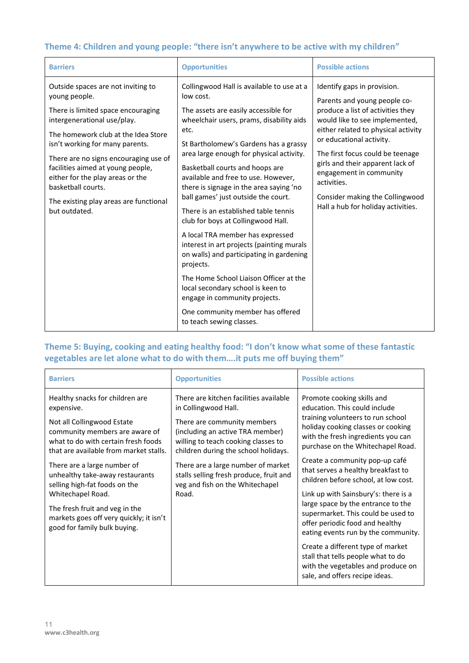## **Theme 4: Children and young people: "there isn't anywhere to be active with my children"**

| <b>Barriers</b>                                                                                                                                                                                                                                                                                                                                                                                       | <b>Opportunities</b>                                                                                                                                                                                                                                                                                                                                                                                                                                                                                                                                                                                                                                                                                                                                                                                        | <b>Possible actions</b>                                                                                                                                                                                                                                                                                                                                                                          |
|-------------------------------------------------------------------------------------------------------------------------------------------------------------------------------------------------------------------------------------------------------------------------------------------------------------------------------------------------------------------------------------------------------|-------------------------------------------------------------------------------------------------------------------------------------------------------------------------------------------------------------------------------------------------------------------------------------------------------------------------------------------------------------------------------------------------------------------------------------------------------------------------------------------------------------------------------------------------------------------------------------------------------------------------------------------------------------------------------------------------------------------------------------------------------------------------------------------------------------|--------------------------------------------------------------------------------------------------------------------------------------------------------------------------------------------------------------------------------------------------------------------------------------------------------------------------------------------------------------------------------------------------|
| Outside spaces are not inviting to<br>young people.<br>There is limited space encouraging<br>intergenerational use/play.<br>The homework club at the Idea Store<br>isn't working for many parents.<br>There are no signs encouraging use of<br>facilities aimed at young people,<br>either for the play areas or the<br>basketball courts.<br>The existing play areas are functional<br>but outdated. | Collingwood Hall is available to use at a<br>low cost.<br>The assets are easily accessible for<br>wheelchair users, prams, disability aids<br>etc.<br>St Bartholomew's Gardens has a grassy<br>area large enough for physical activity.<br>Basketball courts and hoops are<br>available and free to use. However,<br>there is signage in the area saying 'no<br>ball games' just outside the court.<br>There is an established table tennis<br>club for boys at Collingwood Hall.<br>A local TRA member has expressed<br>interest in art projects (painting murals<br>on walls) and participating in gardening<br>projects.<br>The Home School Liaison Officer at the<br>local secondary school is keen to<br>engage in community projects.<br>One community member has offered<br>to teach sewing classes. | Identify gaps in provision.<br>Parents and young people co-<br>produce a list of activities they<br>would like to see implemented,<br>either related to physical activity<br>or educational activity.<br>The first focus could be teenage<br>girls and their apparent lack of<br>engagement in community<br>activities.<br>Consider making the Collingwood<br>Hall a hub for holiday activities. |

## **Theme 5: Buying, cooking and eating healthy food: "I don't know what some of these fantastic vegetables are let alone what to do with them….it puts me off buying them"**

| <b>Barriers</b>                                                                                                                               | <b>Opportunities</b>                                                                                                                           | <b>Possible actions</b>                                                                                                                            |
|-----------------------------------------------------------------------------------------------------------------------------------------------|------------------------------------------------------------------------------------------------------------------------------------------------|----------------------------------------------------------------------------------------------------------------------------------------------------|
| Healthy snacks for children are<br>expensive.                                                                                                 | There are kitchen facilities available<br>in Collingwood Hall.                                                                                 | Promote cooking skills and<br>education. This could include<br>training volunteers to run school                                                   |
| Not all Collingwood Estate<br>community members are aware of<br>what to do with certain fresh foods<br>that are available from market stalls. | There are community members<br>(including an active TRA member)<br>willing to teach cooking classes to<br>children during the school holidays. | holiday cooking classes or cooking<br>with the fresh ingredients you can<br>purchase on the Whitechapel Road.                                      |
| There are a large number of<br>unhealthy take-away restaurants<br>selling high-fat foods on the                                               | There are a large number of market<br>stalls selling fresh produce, fruit and<br>veg and fish on the Whitechapel                               | Create a community pop-up café<br>that serves a healthy breakfast to<br>children before school, at low cost.                                       |
| Whitechapel Road.                                                                                                                             | Road.                                                                                                                                          | Link up with Sainsbury's: there is a                                                                                                               |
| The fresh fruit and veg in the<br>markets goes off very quickly; it isn't<br>good for family bulk buying.                                     |                                                                                                                                                | large space by the entrance to the<br>supermarket. This could be used to<br>offer periodic food and healthy<br>eating events run by the community. |
|                                                                                                                                               |                                                                                                                                                | Create a different type of market<br>stall that tells people what to do<br>with the vegetables and produce on<br>sale, and offers recipe ideas.    |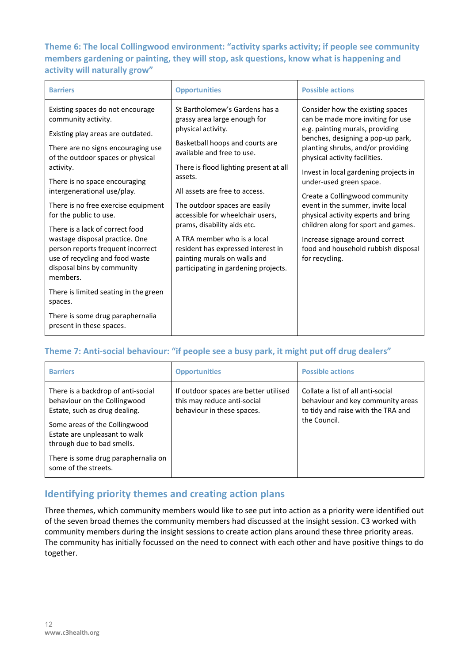## **Theme 6: The local Collingwood environment: "activity sparks activity; if people see community members gardening or painting, they will stop, ask questions, know what is happening and activity will naturally grow"**

| <b>Barriers</b>                                                                                                                                                                                                                                                                                                                                                                                                                                                                                                                                                                                                                  | <b>Opportunities</b>                                                                                                                                                                                                                                                                                                                                                                                                                                                                          | <b>Possible actions</b>                                                                                                                                                                                                                                                                                                                                                                                                                                                                                                                  |
|----------------------------------------------------------------------------------------------------------------------------------------------------------------------------------------------------------------------------------------------------------------------------------------------------------------------------------------------------------------------------------------------------------------------------------------------------------------------------------------------------------------------------------------------------------------------------------------------------------------------------------|-----------------------------------------------------------------------------------------------------------------------------------------------------------------------------------------------------------------------------------------------------------------------------------------------------------------------------------------------------------------------------------------------------------------------------------------------------------------------------------------------|------------------------------------------------------------------------------------------------------------------------------------------------------------------------------------------------------------------------------------------------------------------------------------------------------------------------------------------------------------------------------------------------------------------------------------------------------------------------------------------------------------------------------------------|
| Existing spaces do not encourage<br>community activity.<br>Existing play areas are outdated.<br>There are no signs encouraging use<br>of the outdoor spaces or physical<br>activity.<br>There is no space encouraging<br>intergenerational use/play.<br>There is no free exercise equipment<br>for the public to use.<br>There is a lack of correct food<br>wastage disposal practice. One<br>person reports frequent incorrect<br>use of recycling and food waste<br>disposal bins by community<br>members.<br>There is limited seating in the green<br>spaces.<br>There is some drug paraphernalia<br>present in these spaces. | St Bartholomew's Gardens has a<br>grassy area large enough for<br>physical activity.<br>Basketball hoops and courts are<br>available and free to use.<br>There is flood lighting present at all<br>assets.<br>All assets are free to access.<br>The outdoor spaces are easily<br>accessible for wheelchair users,<br>prams, disability aids etc.<br>A TRA member who is a local<br>resident has expressed interest in<br>painting murals on walls and<br>participating in gardening projects. | Consider how the existing spaces<br>can be made more inviting for use<br>e.g. painting murals, providing<br>benches, designing a pop-up park,<br>planting shrubs, and/or providing<br>physical activity facilities.<br>Invest in local gardening projects in<br>under-used green space.<br>Create a Collingwood community<br>event in the summer, invite local<br>physical activity experts and bring<br>children along for sport and games.<br>Increase signage around correct<br>food and household rubbish disposal<br>for recycling. |

#### **Theme 7: Anti-social behaviour: "if people see a busy park, it might put off drug dealers"**

| <b>Barriers</b>                                                                                                                                                                                     | <b>Opportunities</b>                                                                               | <b>Possible actions</b>                                                                                                      |
|-----------------------------------------------------------------------------------------------------------------------------------------------------------------------------------------------------|----------------------------------------------------------------------------------------------------|------------------------------------------------------------------------------------------------------------------------------|
| There is a backdrop of anti-social<br>behaviour on the Collingwood<br>Estate, such as drug dealing.<br>Some areas of the Collingwood<br>Estate are unpleasant to walk<br>through due to bad smells. | If outdoor spaces are better utilised<br>this may reduce anti-social<br>behaviour in these spaces. | Collate a list of all anti-social<br>behaviour and key community areas<br>to tidy and raise with the TRA and<br>the Council. |
| There is some drug paraphernalia on<br>some of the streets.                                                                                                                                         |                                                                                                    |                                                                                                                              |

## **Identifying priority themes and creating action plans**

Three themes, which community members would like to see put into action as a priority were identified out of the seven broad themes the community members had discussed at the insight session. C3 worked with community members during the insight sessions to create action plans around these three priority areas. The community has initially focussed on the need to connect with each other and have positive things to do together.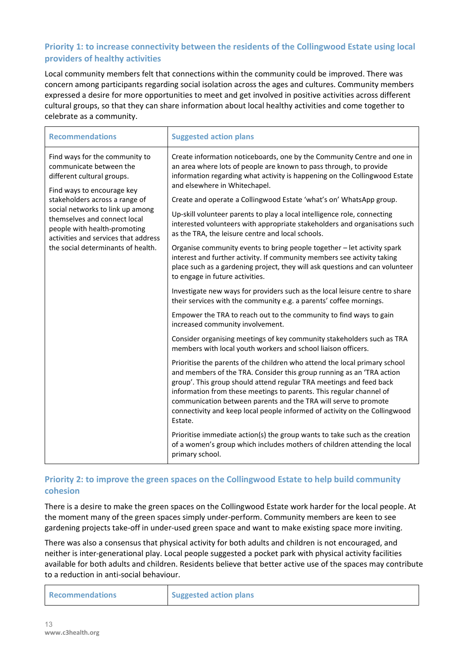#### **Priority 1: to increase connectivity between the residents of the Collingwood Estate using local providers of healthy activities**

Local community members felt that connections within the community could be improved. There was concern among participants regarding social isolation across the ages and cultures. Community members expressed a desire for more opportunities to meet and get involved in positive activities across different cultural groups, so that they can share information about local healthy activities and come together to celebrate as a community.

| <b>Recommendations</b>                                                                                                                                                                                                                                                                                                                    | <b>Suggested action plans</b>                                                                                                                                                                                                                                                                                                                                                                                                                                                                                                                                                                                                                                                                                                                                                            |
|-------------------------------------------------------------------------------------------------------------------------------------------------------------------------------------------------------------------------------------------------------------------------------------------------------------------------------------------|------------------------------------------------------------------------------------------------------------------------------------------------------------------------------------------------------------------------------------------------------------------------------------------------------------------------------------------------------------------------------------------------------------------------------------------------------------------------------------------------------------------------------------------------------------------------------------------------------------------------------------------------------------------------------------------------------------------------------------------------------------------------------------------|
| Find ways for the community to<br>communicate between the<br>different cultural groups.<br>Find ways to encourage key<br>stakeholders across a range of<br>social networks to link up among<br>themselves and connect local<br>people with health-promoting<br>activities and services that address<br>the social determinants of health. | Create information noticeboards, one by the Community Centre and one in<br>an area where lots of people are known to pass through, to provide<br>information regarding what activity is happening on the Collingwood Estate<br>and elsewhere in Whitechapel.<br>Create and operate a Collingwood Estate 'what's on' WhatsApp group.<br>Up-skill volunteer parents to play a local intelligence role, connecting<br>interested volunteers with appropriate stakeholders and organisations such<br>as the TRA, the leisure centre and local schools.<br>Organise community events to bring people together - let activity spark<br>interest and further activity. If community members see activity taking<br>place such as a gardening project, they will ask questions and can volunteer |
|                                                                                                                                                                                                                                                                                                                                           | to engage in future activities.<br>Investigate new ways for providers such as the local leisure centre to share                                                                                                                                                                                                                                                                                                                                                                                                                                                                                                                                                                                                                                                                          |
|                                                                                                                                                                                                                                                                                                                                           | their services with the community e.g. a parents' coffee mornings.                                                                                                                                                                                                                                                                                                                                                                                                                                                                                                                                                                                                                                                                                                                       |
|                                                                                                                                                                                                                                                                                                                                           | Empower the TRA to reach out to the community to find ways to gain<br>increased community involvement.                                                                                                                                                                                                                                                                                                                                                                                                                                                                                                                                                                                                                                                                                   |
|                                                                                                                                                                                                                                                                                                                                           | Consider organising meetings of key community stakeholders such as TRA<br>members with local youth workers and school liaison officers.                                                                                                                                                                                                                                                                                                                                                                                                                                                                                                                                                                                                                                                  |
|                                                                                                                                                                                                                                                                                                                                           | Prioritise the parents of the children who attend the local primary school<br>and members of the TRA. Consider this group running as an 'TRA action<br>group'. This group should attend regular TRA meetings and feed back<br>information from these meetings to parents. This regular channel of<br>communication between parents and the TRA will serve to promote<br>connectivity and keep local people informed of activity on the Collingwood<br>Estate.                                                                                                                                                                                                                                                                                                                            |
|                                                                                                                                                                                                                                                                                                                                           | Prioritise immediate action(s) the group wants to take such as the creation<br>of a women's group which includes mothers of children attending the local<br>primary school.                                                                                                                                                                                                                                                                                                                                                                                                                                                                                                                                                                                                              |

#### **Priority 2: to improve the green spaces on the Collingwood Estate to help build community cohesion**

There is a desire to make the green spaces on the Collingwood Estate work harder for the local people. At the moment many of the green spaces simply under-perform. Community members are keen to see gardening projects take-off in under-used green space and want to make existing space more inviting.

There was also a consensus that physical activity for both adults and children is not encouraged, and neither is inter-generational play. Local people suggested a pocket park with physical activity facilities available for both adults and children. Residents believe that better active use of the spaces may contribute to a reduction in anti-social behaviour.

| <b>Recommendations</b> | <b>Suggested action plans</b> |
|------------------------|-------------------------------|
|------------------------|-------------------------------|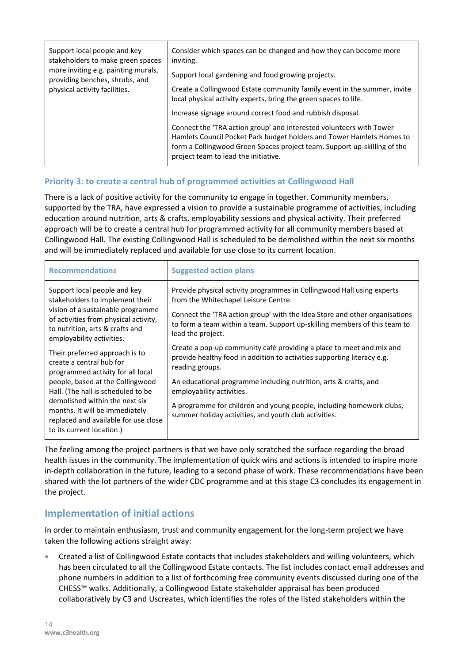| Support local people and key        | Consider which spaces can be changed and how they can become more                                                                                                                                                                                                                                                              |
|-------------------------------------|--------------------------------------------------------------------------------------------------------------------------------------------------------------------------------------------------------------------------------------------------------------------------------------------------------------------------------|
| stakeholders to make green spaces   | inviting.                                                                                                                                                                                                                                                                                                                      |
| more inviting e.g. painting murals, | Support local gardening and food growing projects.                                                                                                                                                                                                                                                                             |
| providing benches, shrubs, and      | Create a Collingwood Estate community family event in the summer, invite                                                                                                                                                                                                                                                       |
| physical activity facilities.       | local physical activity experts, bring the green spaces to life.                                                                                                                                                                                                                                                               |
|                                     | Increase signage around correct food and rubbish disposal.<br>Connect the 'TRA action group' and interested volunteers with Tower<br>Hamlets Council Pocket Park budget holders and Tower Hamlets Homes to<br>form a Collingwood Green Spaces project team. Support up-skilling of the<br>project team to lead the initiative. |

#### **Priority 3: to create a central hub of programmed activities at Collingwood Hall**

There is a lack of positive activity for the community to engage in together. Community members, supported by the TRA, have expressed a vision to provide a sustainable programme of activities, including education around nutrition, arts & crafts, employability sessions and physical activity. Their preferred approach will be to create a central hub for programmed activity for all community members based at Collingwood Hall. The existing Collingwood Hall is scheduled to be demolished within the next six months and will be immediately replaced and available for use close to its current location.

| <b>Recommendations</b>                                                                                                                                                                                                                                                                                                                               | <b>Suggested action plans</b>                                                                                                                                                                                                                                                                                                                                                                                                                                                                                                            |
|------------------------------------------------------------------------------------------------------------------------------------------------------------------------------------------------------------------------------------------------------------------------------------------------------------------------------------------------------|------------------------------------------------------------------------------------------------------------------------------------------------------------------------------------------------------------------------------------------------------------------------------------------------------------------------------------------------------------------------------------------------------------------------------------------------------------------------------------------------------------------------------------------|
| Support local people and key<br>stakeholders to implement their<br>vision of a sustainable programme<br>of activities from physical activity,<br>to nutrition, arts & crafts and<br>employability activities.<br>Their preferred approach is to<br>create a central hub for<br>programmed activity for all local<br>people, based at the Collingwood | Provide physical activity programmes in Collingwood Hall using experts<br>from the Whitechapel Leisure Centre.<br>Connect the 'TRA action group' with the Idea Store and other organisations<br>to form a team within a team. Support up-skilling members of this team to<br>lead the project.<br>Create a pop-up community café providing a place to meet and mix and<br>provide healthy food in addition to activities supporting literacy e.g.<br>reading groups.<br>An educational programme including nutrition, arts & crafts, and |
| Hall. (The hall is scheduled to be<br>demolished within the next six<br>months. It will be immediately<br>replaced and available for use close<br>to its current location.)                                                                                                                                                                          | employability activities.<br>A programme for children and young people, including homework clubs,                                                                                                                                                                                                                                                                                                                                                                                                                                        |
|                                                                                                                                                                                                                                                                                                                                                      | summer holiday activities, and youth club activities.                                                                                                                                                                                                                                                                                                                                                                                                                                                                                    |

The feeling among the project partners is that we have only scratched the surface regarding the broad health issues in the community. The implementation of quick wins and actions is intended to inspire more in-depth collaboration in the future, leading to a second phase of work. These recommendations have been shared with the lot partners of the wider CDC programme and at this stage C3 concludes its engagement in the project.

## **Implementation of initial actions**

In order to maintain enthusiasm, trust and community engagement for the long-term project we have taken the following actions straight away:

• Created a list of Collingwood Estate contacts that includes stakeholders and willing volunteers, which has been circulated to all the Collingwood Estate contacts. The list includes contact email addresses and phone numbers in addition to a list of forthcoming free community events discussed during one of the CHESS™ walks. Additionally, a Collingwood Estate stakeholder appraisal has been produced collaboratively by C3 and Uscreates, which identifies the roles of the listed stakeholders within the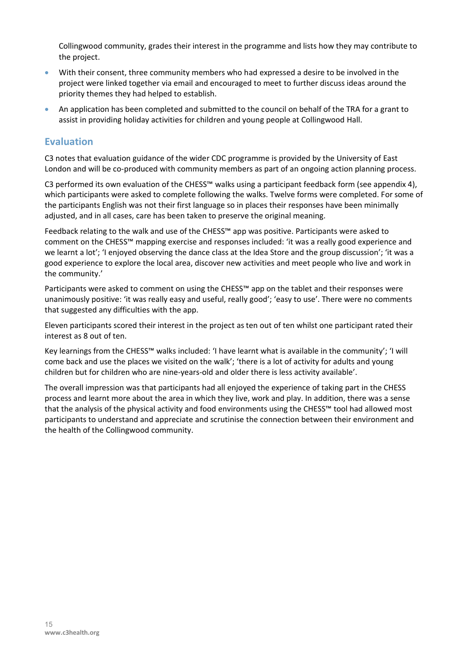Collingwood community, grades their interest in the programme and lists how they may contribute to the project.

- With their consent, three community members who had expressed a desire to be involved in the project were linked together via email and encouraged to meet to further discuss ideas around the priority themes they had helped to establish.
- An application has been completed and submitted to the council on behalf of the TRA for a grant to assist in providing holiday activities for children and young people at Collingwood Hall.

#### **Evaluation**

C3 notes that evaluation guidance of the wider CDC programme is provided by the University of East London and will be co-produced with community members as part of an ongoing action planning process.

C3 performed its own evaluation of the CHESS™ walks using a participant feedback form (see appendix 4), which participants were asked to complete following the walks. Twelve forms were completed. For some of the participants English was not their first language so in places their responses have been minimally adjusted, and in all cases, care has been taken to preserve the original meaning.

Feedback relating to the walk and use of the CHESS™ app was positive. Participants were asked to comment on the CHESS™ mapping exercise and responses included: 'it was a really good experience and we learnt a lot'; 'I enjoyed observing the dance class at the Idea Store and the group discussion'; 'it was a good experience to explore the local area, discover new activities and meet people who live and work in the community.'

Participants were asked to comment on using the CHESS™ app on the tablet and their responses were unanimously positive: 'it was really easy and useful, really good'; 'easy to use'. There were no comments that suggested any difficulties with the app.

Eleven participants scored their interest in the project as ten out of ten whilst one participant rated their interest as 8 out of ten.

Key learnings from the CHESS™ walks included: 'I have learnt what is available in the community'; 'I will come back and use the places we visited on the walk'; 'there is a lot of activity for adults and young children but for children who are nine-years-old and older there is less activity available'.

The overall impression was that participants had all enjoyed the experience of taking part in the CHESS process and learnt more about the area in which they live, work and play. In addition, there was a sense that the analysis of the physical activity and food environments using the CHESS™ tool had allowed most participants to understand and appreciate and scrutinise the connection between their environment and the health of the Collingwood community.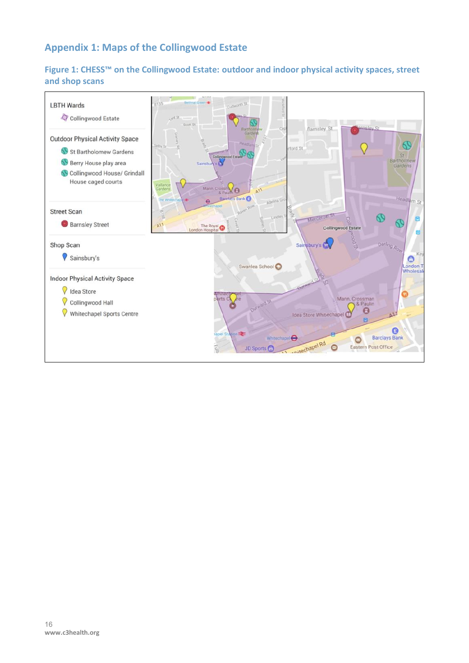# **Appendix 1: Maps of the Collingwood Estate**

## **Figure 1: CHESS™ on the Collingwood Estate: outdoor and indoor physical activity spaces, street and shop scans**

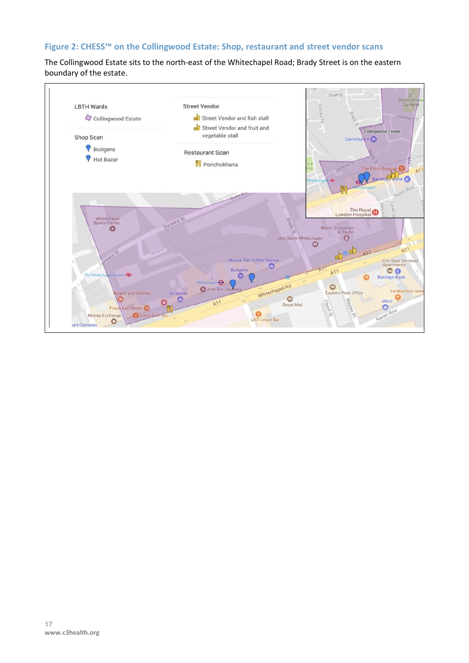## **Figure 2: CHESS™ on the Collingwood Estate: Shop, restaurant and street vendor scans**

The Collingwood Estate sits to the north-east of the Whitechapel Road; Brady Street is on the eastern boundary of the estate.

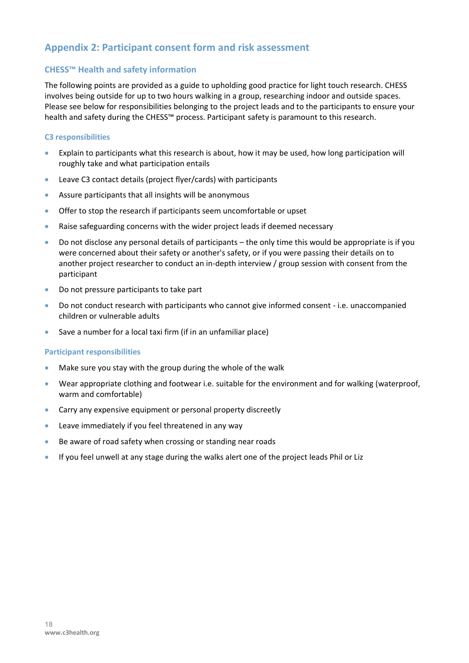## **Appendix 2: Participant consent form and risk assessment**

#### **CHESS™ Health and safety information**

The following points are provided as a guide to upholding good practice for light touch research. CHESS involves being outside for up to two hours walking in a group, researching indoor and outside spaces. Please see below for responsibilities belonging to the project leads and to the participants to ensure your health and safety during the CHESS™ process. Participant safety is paramount to this research.

#### **C3 responsibilities**

- Explain to participants what this research is about, how it may be used, how long participation will roughly take and what participation entails
- Leave C3 contact details (project flyer/cards) with participants
- Assure participants that all insights will be anonymous
- Offer to stop the research if participants seem uncomfortable or upset
- Raise safeguarding concerns with the wider project leads if deemed necessary
- Do not disclose any personal details of participants the only time this would be appropriate is if you were concerned about their safety or another's safety, or if you were passing their details on to another project researcher to conduct an in-depth interview / group session with consent from the participant
- Do not pressure participants to take part
- Do not conduct research with participants who cannot give informed consent i.e. unaccompanied children or vulnerable adults
- Save a number for a local taxi firm (if in an unfamiliar place)

#### **Participant responsibilities**

- Make sure you stay with the group during the whole of the walk
- Wear appropriate clothing and footwear i.e. suitable for the environment and for walking (waterproof, warm and comfortable)
- Carry any expensive equipment or personal property discreetly
- Leave immediately if you feel threatened in any way
- Be aware of road safety when crossing or standing near roads
- If you feel unwell at any stage during the walks alert one of the project leads Phil or Liz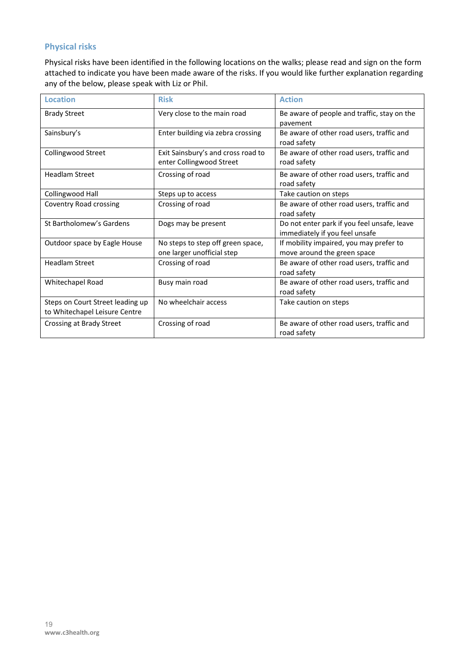#### **Physical risks**

Physical risks have been identified in the following locations on the walks; please read and sign on the form attached to indicate you have been made aware of the risks. If you would like further explanation regarding any of the below, please speak with Liz or Phil.

| <b>Location</b>                                                   | <b>Risk</b>                                                     | <b>Action</b>                                                                 |
|-------------------------------------------------------------------|-----------------------------------------------------------------|-------------------------------------------------------------------------------|
| <b>Brady Street</b>                                               | Very close to the main road                                     | Be aware of people and traffic, stay on the<br>pavement                       |
| Sainsbury's                                                       | Enter building via zebra crossing                               | Be aware of other road users, traffic and<br>road safety                      |
| Collingwood Street                                                | Exit Sainsbury's and cross road to<br>enter Collingwood Street  | Be aware of other road users, traffic and<br>road safety                      |
| <b>Headlam Street</b>                                             | Crossing of road                                                | Be aware of other road users, traffic and<br>road safety                      |
| Collingwood Hall                                                  | Steps up to access                                              | Take caution on steps                                                         |
| Coventry Road crossing                                            | Crossing of road                                                | Be aware of other road users, traffic and<br>road safety                      |
| St Bartholomew's Gardens                                          | Dogs may be present                                             | Do not enter park if you feel unsafe, leave<br>immediately if you feel unsafe |
| Outdoor space by Eagle House                                      | No steps to step off green space,<br>one larger unofficial step | If mobility impaired, you may prefer to<br>move around the green space        |
| <b>Headlam Street</b>                                             | Crossing of road                                                | Be aware of other road users, traffic and<br>road safety                      |
| Whitechapel Road                                                  | Busy main road                                                  | Be aware of other road users, traffic and<br>road safety                      |
| Steps on Court Street leading up<br>to Whitechapel Leisure Centre | No wheelchair access                                            | Take caution on steps                                                         |
| Crossing at Brady Street                                          | Crossing of road                                                | Be aware of other road users, traffic and<br>road safety                      |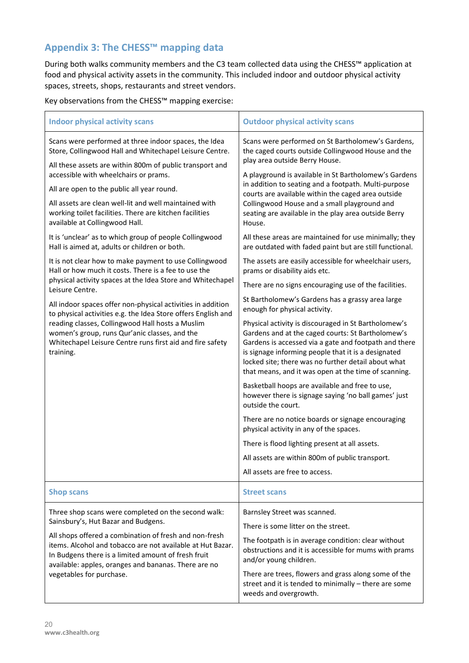# **Appendix 3: The CHESS™ mapping data**

During both walks community members and the C3 team collected data using the CHESS™ application at food and physical activity assets in the community. This included indoor and outdoor physical activity spaces, streets, shops, restaurants and street vendors.

Key observations from the CHESS™ mapping exercise:

| <b>Indoor physical activity scans</b>                                                                                                                                                                                               | <b>Outdoor physical activity scans</b>                                                                                                                                                                                                                                                                                                   |
|-------------------------------------------------------------------------------------------------------------------------------------------------------------------------------------------------------------------------------------|------------------------------------------------------------------------------------------------------------------------------------------------------------------------------------------------------------------------------------------------------------------------------------------------------------------------------------------|
| Scans were performed at three indoor spaces, the Idea<br>Store, Collingwood Hall and Whitechapel Leisure Centre.<br>All these assets are within 800m of public transport and                                                        | Scans were performed on St Bartholomew's Gardens,<br>the caged courts outside Collingwood House and the<br>play area outside Berry House.                                                                                                                                                                                                |
| accessible with wheelchairs or prams.<br>All are open to the public all year round.                                                                                                                                                 | A playground is available in St Bartholomew's Gardens<br>in addition to seating and a footpath. Multi-purpose<br>courts are available within the caged area outside<br>Collingwood House and a small playground and<br>seating are available in the play area outside Berry<br>House.                                                    |
| All assets are clean well-lit and well maintained with<br>working toilet facilities. There are kitchen facilities<br>available at Collingwood Hall.                                                                                 |                                                                                                                                                                                                                                                                                                                                          |
| It is 'unclear' as to which group of people Collingwood<br>Hall is aimed at, adults or children or both.                                                                                                                            | All these areas are maintained for use minimally; they<br>are outdated with faded paint but are still functional.                                                                                                                                                                                                                        |
| It is not clear how to make payment to use Collingwood<br>Hall or how much it costs. There is a fee to use the                                                                                                                      | The assets are easily accessible for wheelchair users,<br>prams or disability aids etc.                                                                                                                                                                                                                                                  |
| physical activity spaces at the Idea Store and Whitechapel<br>Leisure Centre.                                                                                                                                                       | There are no signs encouraging use of the facilities.                                                                                                                                                                                                                                                                                    |
| All indoor spaces offer non-physical activities in addition<br>to physical activities e.g. the Idea Store offers English and                                                                                                        | St Bartholomew's Gardens has a grassy area large<br>enough for physical activity.                                                                                                                                                                                                                                                        |
| reading classes, Collingwood Hall hosts a Muslim<br>women's group, runs Qur'anic classes, and the<br>Whitechapel Leisure Centre runs first aid and fire safety<br>training.                                                         | Physical activity is discouraged in St Bartholomew's<br>Gardens and at the caged courts: St Bartholomew's<br>Gardens is accessed via a gate and footpath and there<br>is signage informing people that it is a designated<br>locked site; there was no further detail about what<br>that means, and it was open at the time of scanning. |
|                                                                                                                                                                                                                                     | Basketball hoops are available and free to use,<br>however there is signage saying 'no ball games' just<br>outside the court.                                                                                                                                                                                                            |
|                                                                                                                                                                                                                                     | There are no notice boards or signage encouraging<br>physical activity in any of the spaces.                                                                                                                                                                                                                                             |
|                                                                                                                                                                                                                                     | There is flood lighting present at all assets.                                                                                                                                                                                                                                                                                           |
|                                                                                                                                                                                                                                     | All assets are within 800m of public transport.                                                                                                                                                                                                                                                                                          |
|                                                                                                                                                                                                                                     | All assets are free to access.                                                                                                                                                                                                                                                                                                           |
| <b>Shop scans</b>                                                                                                                                                                                                                   | <b>Street scans</b>                                                                                                                                                                                                                                                                                                                      |
| Three shop scans were completed on the second walk:                                                                                                                                                                                 | Barnsley Street was scanned.                                                                                                                                                                                                                                                                                                             |
| Sainsbury's, Hut Bazar and Budgens.                                                                                                                                                                                                 | There is some litter on the street.                                                                                                                                                                                                                                                                                                      |
| All shops offered a combination of fresh and non-fresh<br>items. Alcohol and tobacco are not available at Hut Bazar.<br>In Budgens there is a limited amount of fresh fruit<br>available: apples, oranges and bananas. There are no | The footpath is in average condition: clear without<br>obstructions and it is accessible for mums with prams<br>and/or young children.                                                                                                                                                                                                   |
| vegetables for purchase.                                                                                                                                                                                                            | There are trees, flowers and grass along some of the<br>street and it is tended to minimally - there are some<br>weeds and overgrowth.                                                                                                                                                                                                   |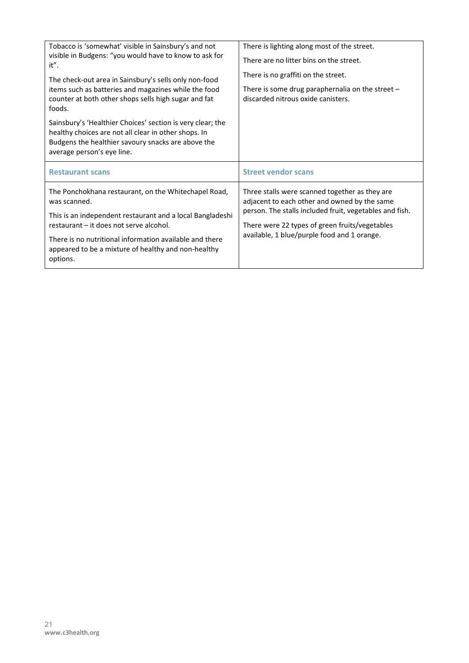| Tobacco is 'somewhat' visible in Sainsbury's and not<br>visible in Budgens: "you would have to know to ask for<br>it".<br>The check-out area in Sainsbury's sells only non-food<br>items such as batteries and magazines while the food<br>counter at both other shops sells high sugar and fat<br>foods. | There is lighting along most of the street.<br>There are no litter bins on the street.<br>There is no graffiti on the street.<br>There is some drug paraphernalia on the street -<br>discarded nitrous oxide canisters. |
|-----------------------------------------------------------------------------------------------------------------------------------------------------------------------------------------------------------------------------------------------------------------------------------------------------------|-------------------------------------------------------------------------------------------------------------------------------------------------------------------------------------------------------------------------|
| Sainsbury's 'Healthier Choices' section is very clear; the<br>healthy choices are not all clear in other shops. In<br>Budgens the healthier savoury snacks are above the<br>average person's eye line.                                                                                                    |                                                                                                                                                                                                                         |
| <b>Restaurant scans</b>                                                                                                                                                                                                                                                                                   | <b>Street vendor scans</b>                                                                                                                                                                                              |
| The Ponchokhana restaurant, on the Whitechapel Road,<br>was scanned.                                                                                                                                                                                                                                      | Three stalls were scanned together as they are<br>adjacent to each other and owned by the same<br>person. The stalls included fruit, vegetables and fish.                                                               |
| This is an independent restaurant and a local Bangladeshi<br>restaurant – it does not serve alcohol.                                                                                                                                                                                                      | There were 22 types of green fruits/vegetables<br>available, 1 blue/purple food and 1 orange.                                                                                                                           |
| There is no nutritional information available and there<br>appeared to be a mixture of healthy and non-healthy                                                                                                                                                                                            |                                                                                                                                                                                                                         |